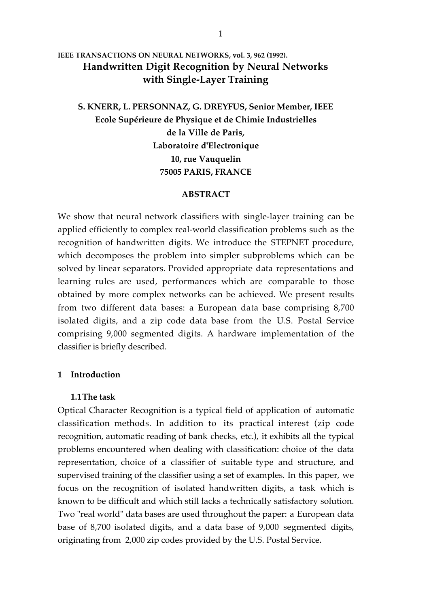# **IEEE TRANSACTIONS ON NEURAL NETWORKS, vol. 3, 962 (1992). Handwritten Digit Recognition by Neural Networks with Single-Layer Training**

# **S. KNERR, L. PERSONNAZ, G. DREYFUS, Senior Member, IEEE Ecole Supérieure de Physique et de Chimie Industrielles de la Ville de Paris, Laboratoire d'Electronique 10, rue Vauquelin 75005 PARIS, FRANCE**

### **ABSTRACT**

We show that neural network classifiers with single-layer training can be applied efficiently to complex real-world classification problems such as the recognition of handwritten digits. We introduce the STEPNET procedure, which decomposes the problem into simpler subproblems which can be solved by linear separators. Provided appropriate data representations and learning rules are used, performances which are comparable to those obtained by more complex networks can be achieved. We present results from two different data bases: a European data base comprising 8,700 isolated digits, and a zip code data base from the U.S. Postal Service comprising 9,000 segmented digits. A hardware implementation of the classifier is briefly described.

## **1 Introduction**

#### **1.1The task**

Optical Character Recognition is a typical field of application of automatic classification methods. In addition to its practical interest (zip code recognition, automatic reading of bank checks, etc.), it exhibits all the typical problems encountered when dealing with classification: choice of the data representation, choice of a classifier of suitable type and structure, and supervised training of the classifier using a set of examples. In this paper, we focus on the recognition of isolated handwritten digits, a task which is known to be difficult and which still lacks a technically satisfactory solution. Two "real world" data bases are used throughout the paper: a European data base of 8,700 isolated digits, and a data base of 9,000 segmented digits, originating from 2,000 zip codes provided by the U.S. Postal Service.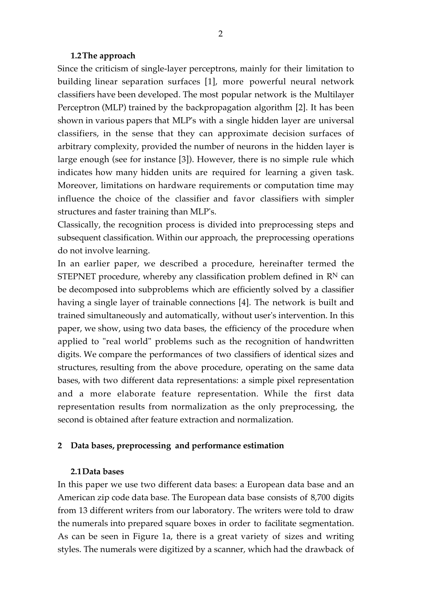## **1.2The approach**

Since the criticism of single-layer perceptrons, mainly for their limitation to building linear separation surfaces [1], more powerful neural network classifiers have been developed. The most popular network is the Multilayer Perceptron (MLP) trained by the backpropagation algorithm [2]. It has been shown in various papers that MLP's with a single hidden layer are universal classifiers, in the sense that they can approximate decision surfaces of arbitrary complexity, provided the number of neurons in the hidden layer is large enough (see for instance [3]). However, there is no simple rule which indicates how many hidden units are required for learning a given task. Moreover, limitations on hardware requirements or computation time may influence the choice of the classifier and favor classifiers with simpler structures and faster training than MLP's.

Classically, the recognition process is divided into preprocessing steps and subsequent classification. Within our approach, the preprocessing operations do not involve learning.

In an earlier paper, we described a procedure, hereinafter termed the STEPNET procedure, whereby any classification problem defined in  $\mathbb{R}^N$  can be decomposed into subproblems which are efficiently solved by a classifier having a single layer of trainable connections [4]. The network is built and trained simultaneously and automatically, without user's intervention. In this paper, we show, using two data bases, the efficiency of the procedure when applied to "real world" problems such as the recognition of handwritten digits. We compare the performances of two classifiers of identical sizes and structures, resulting from the above procedure, operating on the same data bases, with two different data representations: a simple pixel representation and a more elaborate feature representation. While the first data representation results from normalization as the only preprocessing, the second is obtained after feature extraction and normalization.

# **2 Data bases, preprocessing and performance estimation**

## **2.1Data bases**

In this paper we use two different data bases: a European data base and an American zip code data base. The European data base consists of 8,700 digits from 13 different writers from our laboratory. The writers were told to draw the numerals into prepared square boxes in order to facilitate segmentation. As can be seen in Figure 1a, there is a great variety of sizes and writing styles. The numerals were digitized by a scanner, which had the drawback of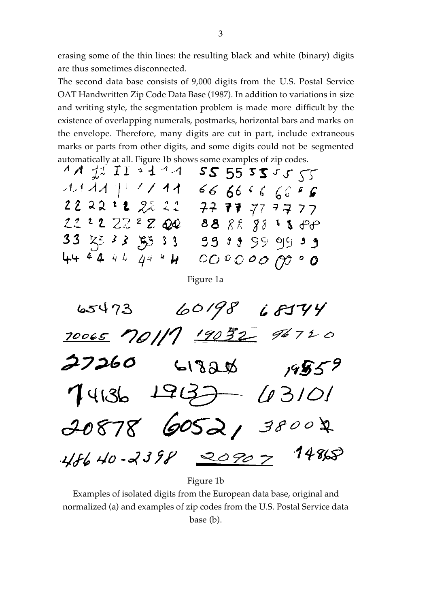erasing some of the thin lines: the resulting black and white (binary) digits are thus sometimes disconnected.

The second data base consists of 9,000 digits from the U.S. Postal Service OAT Handwritten Zip Code Data Base (1987). In addition to variations in size and writing style, the segmentation problem is made more difficult by the existence of overlapping numerals, postmarks, horizontal bars and marks on the envelope. Therefore, many digits are cut in part, include extraneous marks or parts from other digits, and some digits could not be segmented automatically at all. Figure 1b shows some examples of zip codes.

|  | $AA$ de $II$ a disk $AA$ |  |  |  | 25555555       |                        |
|--|--------------------------|--|--|--|----------------|------------------------|
|  | $21122$ [F $\ell$ / 14   |  |  |  | 6666666        |                        |
|  | 222211 2221              |  |  |  | 77 77 77 77 77 |                        |
|  | 222222200                |  |  |  |                | 88 88 88 <b>1 1</b> 12 |
|  |                          |  |  |  |                |                        |
|  | 444444447                |  |  |  | 0000000000     |                        |

Figure 1a



Figure 1b

Examples of isolated digits from the European data base, original and normalized (a) and examples of zip codes from the U.S. Postal Service data base (b).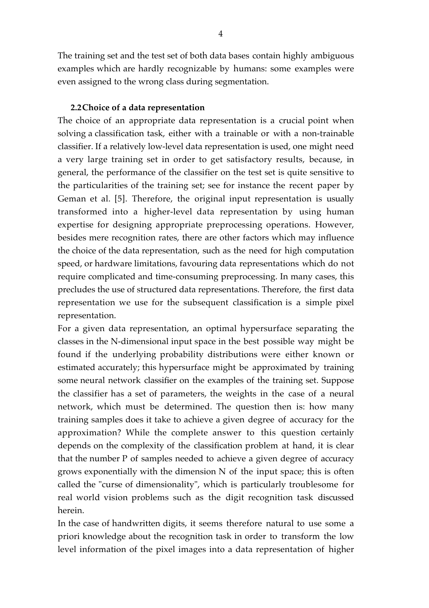The training set and the test set of both data bases contain highly ambiguous examples which are hardly recognizable by humans: some examples were even assigned to the wrong class during segmentation.

# **2.2Choice of a data representation**

The choice of an appropriate data representation is a crucial point when solving a classification task, either with a trainable or with a non-trainable classifier. If a relatively low-level data representation is used, one might need a very large training set in order to get satisfactory results, because, in general, the performance of the classifier on the test set is quite sensitive to the particularities of the training set; see for instance the recent paper by Geman et al. [5]. Therefore, the original input representation is usually transformed into a higher-level data representation by using human expertise for designing appropriate preprocessing operations. However, besides mere recognition rates, there are other factors which may influence the choice of the data representation, such as the need for high computation speed, or hardware limitations, favouring data representations which do not require complicated and time-consuming preprocessing. In many cases, this precludes the use of structured data representations. Therefore, the first data representation we use for the subsequent classification is a simple pixel representation.

For a given data representation, an optimal hypersurface separating the classes in the N-dimensional input space in the best possible way might be found if the underlying probability distributions were either known or estimated accurately; this hypersurface might be approximated by training some neural network classifier on the examples of the training set. Suppose the classifier has a set of parameters, the weights in the case of a neural network, which must be determined. The question then is: how many training samples does it take to achieve a given degree of accuracy for the approximation? While the complete answer to this question certainly depends on the complexity of the classification problem at hand, it is clear that the number P of samples needed to achieve a given degree of accuracy grows exponentially with the dimension N of the input space; this is often called the "curse of dimensionality", which is particularly troublesome for real world vision problems such as the digit recognition task discussed herein.

In the case of handwritten digits, it seems therefore natural to use some a priori knowledge about the recognition task in order to transform the low level information of the pixel images into a data representation of higher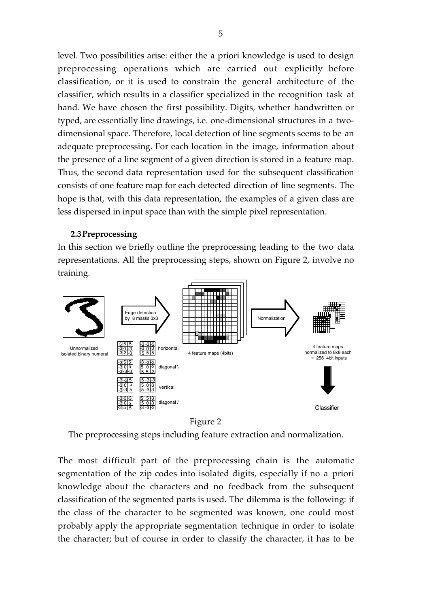level. Two possibilities arise: either the a priori knowledge is used to design preprocessing operations which are carried out explicitly before classification, or it is used to constrain the general architecture of the classifier, which results in a classifier specialized in the recognition task at hand. We have chosen the first possibility. Digits, whether handwritten or typed, are essentially line drawings, i.e. one-dimensional structures in a twodimensional space. Therefore, local detection of line segments seems to be an adequate preprocessing. For each location in the image, information about the presence of a line segment of a given direction is stored in a feature map. Thus, the second data representation used for the subsequent classification consists of one feature map for each detected direction of line segments. The hope is that, with this data representation, the examples of a given class are less dispersed in input space than with the simple pixel representation.

# **2.3Preprocessing**

In this section we briefly outline the preprocessing leading to the two data representations. All the preprocessing steps, shown on Figure 2, involve no training.





The preprocessing steps including feature extraction and normalization.

The most difficult part of the preprocessing chain is the automatic segmentation of the zip codes into isolated digits, especially if no a priori knowledge about the characters and no feedback from the subsequent classification of the segmented parts is used. The dilemma is the following: if the class of the character to be segmented was known, one could most probably apply the appropriate segmentation technique in order to isolate the character; but of course in order to classify the character, it has to be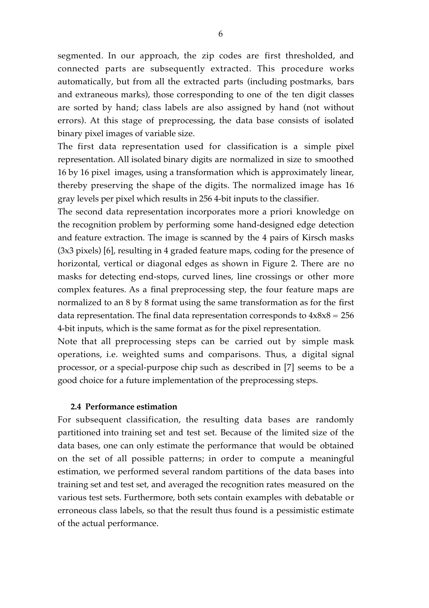segmented. In our approach, the zip codes are first thresholded, and connected parts are subsequently extracted. This procedure works automatically, but from all the extracted parts (including postmarks, bars and extraneous marks), those corresponding to one of the ten digit classes are sorted by hand; class labels are also assigned by hand (not without errors). At this stage of preprocessing, the data base consists of isolated binary pixel images of variable size.

The first data representation used for classification is a simple pixel representation. All isolated binary digits are normalized in size to smoothed 16 by 16 pixel images, using a transformation which is approximately linear, thereby preserving the shape of the digits. The normalized image has 16 gray levels per pixel which results in 256 4-bit inputs to the classifier.

The second data representation incorporates more a priori knowledge on the recognition problem by performing some hand-designed edge detection and feature extraction. The image is scanned by the 4 pairs of Kirsch masks (3x3 pixels) [6], resulting in 4 graded feature maps, coding for the presence of horizontal, vertical or diagonal edges as shown in Figure 2. There are no masks for detecting end-stops, curved lines, line crossings or other more complex features. As a final preprocessing step, the four feature maps are normalized to an 8 by 8 format using the same transformation as for the first data representation. The final data representation corresponds to  $4x8x8 = 256$ 4-bit inputs, which is the same format as for the pixel representation.

Note that all preprocessing steps can be carried out by simple mask operations, i.e. weighted sums and comparisons. Thus, a digital signal processor, or a special-purpose chip such as described in [7] seems to be a good choice for a future implementation of the preprocessing steps.

# **2.4 Performance estimation**

For subsequent classification, the resulting data bases are randomly partitioned into training set and test set. Because of the limited size of the data bases, one can only estimate the performance that would be obtained on the set of all possible patterns; in order to compute a meaningful estimation, we performed several random partitions of the data bases into training set and test set, and averaged the recognition rates measured on the various test sets. Furthermore, both sets contain examples with debatable or erroneous class labels, so that the result thus found is a pessimistic estimate of the actual performance.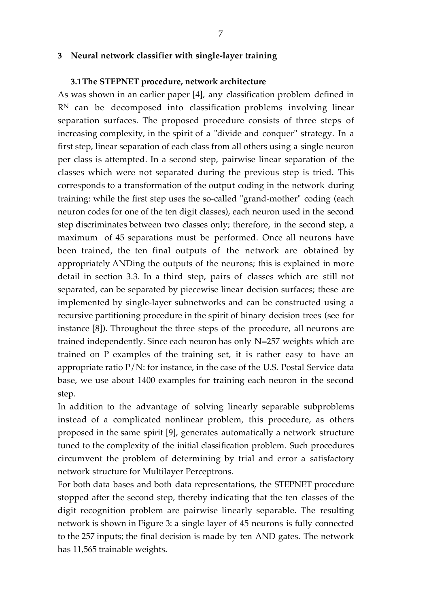### **3 Neural network classifier with single-layer training**

#### **3.1The STEPNET procedure, network architecture**

As was shown in an earlier paper [4], any classification problem defined in  $R<sup>N</sup>$  can be decomposed into classification problems involving linear separation surfaces. The proposed procedure consists of three steps of increasing complexity, in the spirit of a "divide and conquer" strategy. In a first step, linear separation of each class from all others using a single neuron per class is attempted. In a second step, pairwise linear separation of the classes which were not separated during the previous step is tried. This corresponds to a transformation of the output coding in the network during training: while the first step uses the so-called "grand-mother" coding (each neuron codes for one of the ten digit classes), each neuron used in the second step discriminates between two classes only; therefore, in the second step, a maximum of 45 separations must be performed. Once all neurons have been trained, the ten final outputs of the network are obtained by appropriately ANDing the outputs of the neurons; this is explained in more detail in section 3.3. In a third step, pairs of classes which are still not separated, can be separated by piecewise linear decision surfaces; these are implemented by single-layer subnetworks and can be constructed using a recursive partitioning procedure in the spirit of binary decision trees (see for instance [8]). Throughout the three steps of the procedure, all neurons are trained independently. Since each neuron has only N=257 weights which are trained on P examples of the training set, it is rather easy to have an appropriate ratio  $P/N$ : for instance, in the case of the U.S. Postal Service data base, we use about 1400 examples for training each neuron in the second step.

In addition to the advantage of solving linearly separable subproblems instead of a complicated nonlinear problem, this procedure, as others proposed in the same spirit [9], generates automatically a network structure tuned to the complexity of the initial classification problem. Such procedures circumvent the problem of determining by trial and error a satisfactory network structure for Multilayer Perceptrons.

For both data bases and both data representations, the STEPNET procedure stopped after the second step, thereby indicating that the ten classes of the digit recognition problem are pairwise linearly separable. The resulting network is shown in Figure 3: a single layer of 45 neurons is fully connected to the 257 inputs; the final decision is made by ten AND gates. The network has 11,565 trainable weights.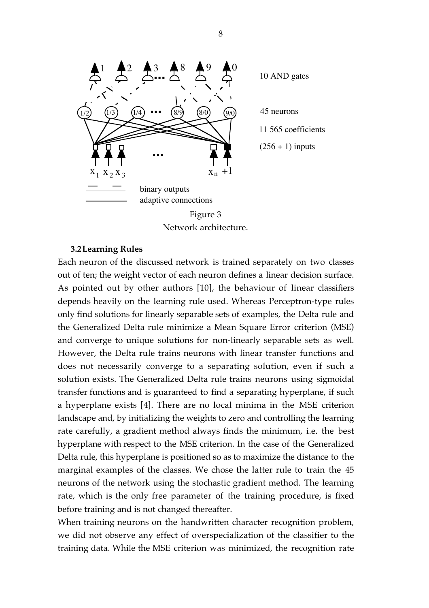

Network architecture.

### **3.2Learning Rules**

Each neuron of the discussed network is trained separately on two classes out of ten; the weight vector of each neuron defines a linear decision surface. As pointed out by other authors [10], the behaviour of linear classifiers depends heavily on the learning rule used. Whereas Perceptron-type rules only find solutions for linearly separable sets of examples, the Delta rule and the Generalized Delta rule minimize a Mean Square Error criterion (MSE) and converge to unique solutions for non-linearly separable sets as well. However, the Delta rule trains neurons with linear transfer functions and does not necessarily converge to a separating solution, even if such a solution exists. The Generalized Delta rule trains neurons using sigmoidal transfer functions and is guaranteed to find a separating hyperplane, if such a hyperplane exists [4]. There are no local minima in the MSE criterion landscape and, by initializing the weights to zero and controlling the learning rate carefully, a gradient method always finds the minimum, i.e. the best hyperplane with respect to the MSE criterion. In the case of the Generalized Delta rule, this hyperplane is positioned so as to maximize the distance to the marginal examples of the classes. We chose the latter rule to train the 45 neurons of the network using the stochastic gradient method. The learning rate, which is the only free parameter of the training procedure, is fixed before training and is not changed thereafter.

When training neurons on the handwritten character recognition problem, we did not observe any effect of overspecialization of the classifier to the training data. While the MSE criterion was minimized, the recognition rate

8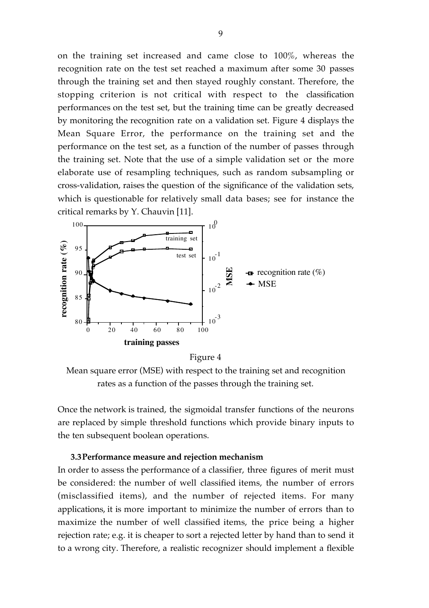on the training set increased and came close to 100%, whereas the recognition rate on the test set reached a maximum after some 30 passes through the training set and then stayed roughly constant. Therefore, the stopping criterion is not critical with respect to the classification performances on the test set, but the training time can be greatly decreased by monitoring the recognition rate on a validation set. Figure 4 displays the Mean Square Error, the performance on the training set and the performance on the test set, as a function of the number of passes through the training set. Note that the use of a simple validation set or the more elaborate use of resampling techniques, such as random subsampling or cross-validation, raises the question of the significance of the validation sets, which is questionable for relatively small data bases; see for instance the critical remarks by Y. Chauvin [11].



Figure 4

Mean square error (MSE) with respect to the training set and recognition rates as a function of the passes through the training set.

Once the network is trained, the sigmoidal transfer functions of the neurons are replaced by simple threshold functions which provide binary inputs to the ten subsequent boolean operations.

#### **3.3Performance measure and rejection mechanism**

In order to assess the performance of a classifier, three figures of merit must be considered: the number of well classified items, the number of errors (misclassified items), and the number of rejected items. For many applications, it is more important to minimize the number of errors than to maximize the number of well classified items, the price being a higher rejection rate; e.g. it is cheaper to sort a rejected letter by hand than to send it to a wrong city. Therefore, a realistic recognizer should implement a flexible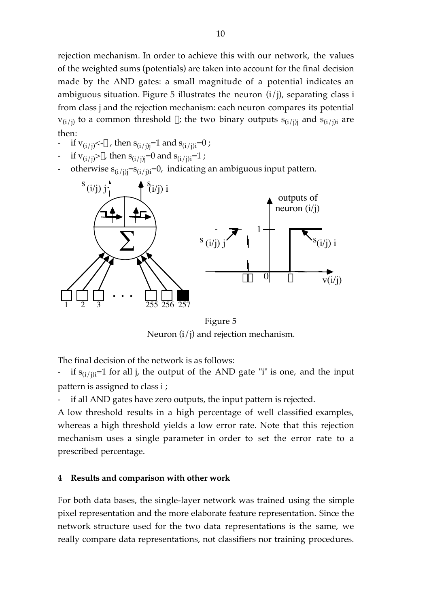rejection mechanism. In order to achieve this with our network, the values of the weighted sums (potentials) are taken into account for the final decision made by the AND gates: a small magnitude of a potential indicates an ambiguous situation. Figure 5 illustrates the neuron  $(i/j)$ , separating class i from class j and the rejection mechanism: each neuron compares its potential  $v_{(i/i)}$  to a common threshold  $\theta$ ; the two binary outputs  $s_{(i/i)i}$  and  $s_{(i/i)i}$  are then:

- if  $v_{(i/i)} < \theta$ , then  $s_{(i/i)i} = 1$  and  $s_{(i/i)i} = 0$ ;
- if  $v_{(i/i)} > \theta$ , then  $s_{(i/i)i} = 0$  and  $s_{(i/i)i} = 1$ ;
- otherwise  $s_{(i/j)i}=s_{(i/j)i}=0$ , indicating an ambiguous input pattern.



Figure 5 Neuron  $(i/j)$  and rejection mechanism.

The final decision of the network is as follows:

- if  $s_{(i/ij)}=1$  for all j, the output of the AND gate "i" is one, and the input pattern is assigned to class i ;

if all AND gates have zero outputs, the input pattern is rejected.

A low threshold results in a high percentage of well classified examples, whereas a high threshold yields a low error rate. Note that this rejection mechanism uses a single parameter in order to set the error rate to a prescribed percentage.

# **4 Results and comparison with other work**

For both data bases, the single-layer network was trained using the simple pixel representation and the more elaborate feature representation. Since the network structure used for the two data representations is the same, we really compare data representations, not classifiers nor training procedures.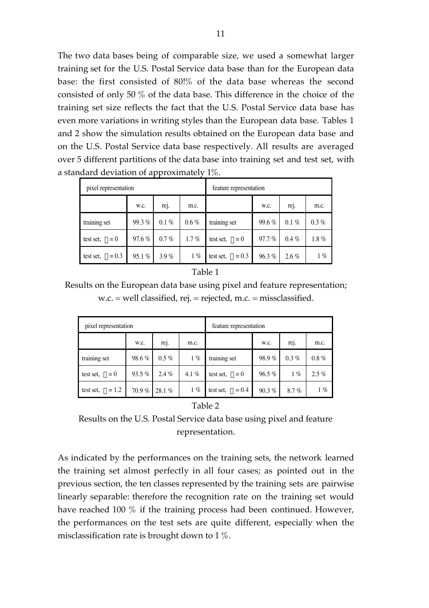The two data bases being of comparable size, we used a somewhat larger training set for the U.S. Postal Service data base than for the European data base: the first consisted of 80!% of the data base whereas the second consisted of only 50 % of the data base. This difference in the choice of the training set size reflects the fact that the U.S. Postal Service data base has even more variations in writing styles than the European data base. Tables 1 and 2 show the simulation results obtained on the European data base and on the U.S. Postal Service data base respectively. All results are averaged over 5 different partitions of the data base into training set and test set, with a standard deviation of approximately 1%.

| pixel representation     |          |                   |         | feature representation   |          |                   |         |
|--------------------------|----------|-------------------|---------|--------------------------|----------|-------------------|---------|
|                          | w.c.     | re <sub>1</sub> . | m.c.    |                          | W.C.     | re <sub>l</sub> . | m.c.    |
| training set             | 99.3%    | $0.1\%$           | $0.6\%$ | training set             | $99.6\%$ | $0.1\%$           | $0.3\%$ |
| test set, $\theta = 0$   | 97.6%    | $0.7\%$           | $1.7\%$ | test set, $\theta = 0$   | $97.7\%$ | $0.4\%$           | $1.8\%$ |
| test set, $\theta = 0.3$ | $95.1\%$ | $3.9\%$           | $1\%$   | test set, $\theta = 0.3$ | 96.3%    | $2.6\%$           | $1\%$   |

| аr<br>, |  |
|---------|--|
|---------|--|

Results on the European data base using pixel and feature representation; w.c. = well classified, rej. = rejected, m.c. = missclassified.

| pixel representation     |          |         |         | feature representation   |          |                   |          |
|--------------------------|----------|---------|---------|--------------------------|----------|-------------------|----------|
|                          | W.C.     | rej.    | m.c.    |                          | W.C.     | re <sub>l</sub> . | m.c.     |
| training set             | 98.6%    | $0.5\%$ | $1\%$   | training set             | 98.9%    | $0.3\%$           | $0.8 \%$ |
| test set, $\theta = 0$   | 93.5 $%$ | $2.4\%$ | 4.1 $%$ | test set, $\theta = 0$   | $96.5\%$ | $1\%$             | $2.5\%$  |
| test set, $\theta = 1.2$ | $70.9\%$ | 28.1%   | $1\%$   | test set, $\theta = 0.4$ | $90.3\%$ | $8.7\%$           | $1\%$    |

#### Table 2

Results on the U.S. Postal Service data base using pixel and feature representation.

As indicated by the performances on the training sets, the network learned the training set almost perfectly in all four cases; as pointed out in the previous section, the ten classes represented by the training sets are pairwise linearly separable: therefore the recognition rate on the training set would have reached 100 % if the training process had been continued. However, the performances on the test sets are quite different, especially when the misclassification rate is brought down to 1 %.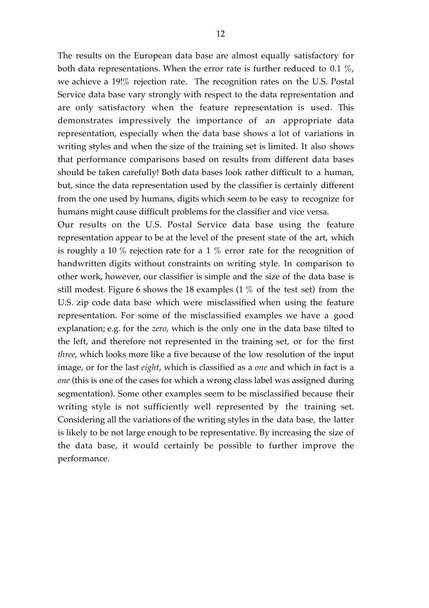The results on the European data base are almost equally satisfactory for both data representations. When the error rate is further reduced to 0.1 %, we achieve a 19!% rejection rate. The recognition rates on the U.S. Postal Service data base vary strongly with respect to the data representation and are only satisfactory when the feature representation is used. This demonstrates impressively the importance of an appropriate data representation, especially when the data base shows a lot of variations in writing styles and when the size of the training set is limited. It also shows that performance comparisons based on results from different data bases should be taken carefully! Both data bases look rather difficult to a human, but, since the data representation used by the classifier is certainly different from the one used by humans, digits which seem to be easy to recognize for humans might cause difficult problems for the classifier and vice versa.

Our results on the U.S. Postal Service data base using the feature representation appear to be at the level of the present state of the art, which is roughly a 10 % rejection rate for a 1 % error rate for the recognition of handwritten digits without constraints on writing style. In comparison to other work, however, our classifier is simple and the size of the data base is still modest. Figure 6 shows the 18 examples (1 % of the test set) from the U.S. zip code data base which were misclassified when using the feature representation. For some of the misclassified examples we have a good explanation; e.g. for the *zero*, which is the only one in the data base tilted to the left, and therefore not represented in the training set, or for the first *three*, which looks more like a five because of the low resolution of the input image, or for the last *eight*, which is classified as a *one* and which in fact is a *one* (this is one of the cases for which a wrong class label was assigned during segmentation). Some other examples seem to be misclassified because their writing style is not sufficiently well represented by the training set. Considering all the variations of the writing styles in the data base, the latter is likely to be not large enough to be representative. By increasing the size of the data base, it would certainly be possible to further improve the performance.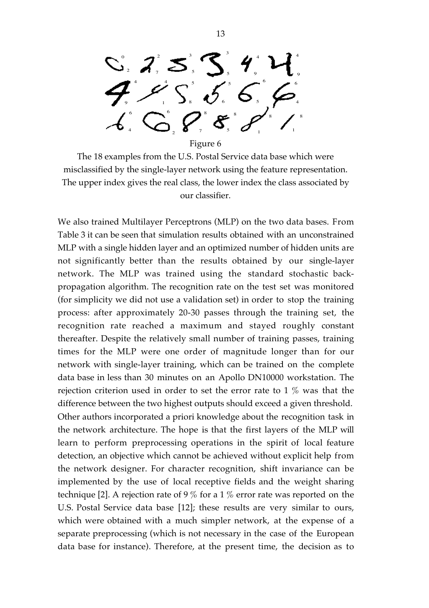$\mathbf{O}$ 2  $\bullet$  7 2  $\qquad \qquad ^3$ 5 3 5 4 9 4 9 4 9 4 1 5 8 5 6 6 5 6 4 6 4 6 2 8 7 8  $\sim$   $\sim$   $\sim$   $\sim$ 8 8 1

Figure 6

The 18 examples from the U.S. Postal Service data base which were misclassified by the single-layer network using the feature representation. The upper index gives the real class, the lower index the class associated by our classifier.

We also trained Multilayer Perceptrons (MLP) on the two data bases. From Table 3 it can be seen that simulation results obtained with an unconstrained MLP with a single hidden layer and an optimized number of hidden units are not significantly better than the results obtained by our single-layer network. The MLP was trained using the standard stochastic backpropagation algorithm. The recognition rate on the test set was monitored (for simplicity we did not use a validation set) in order to stop the training process: after approximately 20-30 passes through the training set, the recognition rate reached a maximum and stayed roughly constant thereafter. Despite the relatively small number of training passes, training times for the MLP were one order of magnitude longer than for our network with single-layer training, which can be trained on the complete data base in less than 30 minutes on an Apollo DN10000 workstation. The rejection criterion used in order to set the error rate to 1 % was that the difference between the two highest outputs should exceed a given threshold. Other authors incorporated a priori knowledge about the recognition task in the network architecture. The hope is that the first layers of the MLP will learn to perform preprocessing operations in the spirit of local feature detection, an objective which cannot be achieved without explicit help from the network designer. For character recognition, shift invariance can be implemented by the use of local receptive fields and the weight sharing technique [2]. A rejection rate of 9 % for a 1 % error rate was reported on the U.S. Postal Service data base [12]; these results are very similar to ours, which were obtained with a much simpler network, at the expense of a separate preprocessing (which is not necessary in the case of the European data base for instance). Therefore, at the present time, the decision as to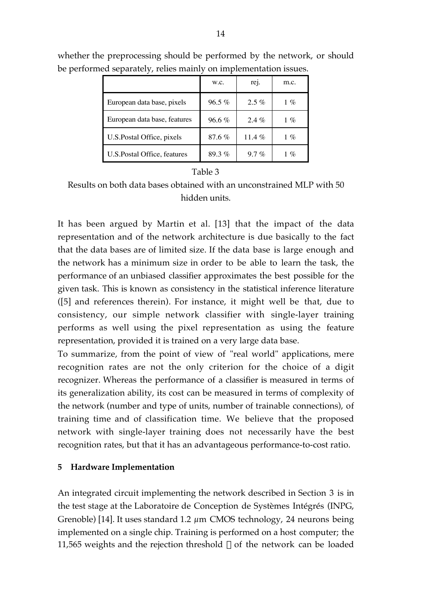|                              | W.C.     | re <sub>1</sub> . | m.c.   |
|------------------------------|----------|-------------------|--------|
| European data base, pixels   | $96.5\%$ | $2.5\%$           | $1 \%$ |
| European data base, features | $96.6\%$ | $2.4\%$           | $1\%$  |
| U.S. Postal Office, pixels   | $87.6\%$ | 11.4 %            | $1 \%$ |
| U.S. Postal Office, features | 89.3%    | $9.7\%$           | $1 \%$ |

whether the preprocessing should be performed by the network, or should be performed separately, relies mainly on implementation issues.

# Table 3

Results on both data bases obtained with an unconstrained MLP with 50 hidden units.

It has been argued by Martin et al. [13] that the impact of the data representation and of the network architecture is due basically to the fact that the data bases are of limited size. If the data base is large enough and the network has a minimum size in order to be able to learn the task, the performance of an unbiased classifier approximates the best possible for the given task. This is known as consistency in the statistical inference literature ([5] and references therein). For instance, it might well be that, due to consistency, our simple network classifier with single-layer training performs as well using the pixel representation as using the feature representation, provided it is trained on a very large data base.

To summarize, from the point of view of "real world" applications, mere recognition rates are not the only criterion for the choice of a digit recognizer. Whereas the performance of a classifier is measured in terms of its generalization ability, its cost can be measured in terms of complexity of the network (number and type of units, number of trainable connections), of training time and of classification time. We believe that the proposed network with single-layer training does not necessarily have the best recognition rates, but that it has an advantageous performance-to-cost ratio.

## **5 Hardware Implementation**

An integrated circuit implementing the network described in Section 3 is in the test stage at the Laboratoire de Conception de Systèmes Intégrés (INPG, Grenoble) [14]. It uses standard 1.2 µm CMOS technology, 24 neurons being implemented on a single chip. Training is performed on a host computer; the 11,565 weights and the rejection threshold  $\theta$  of the network can be loaded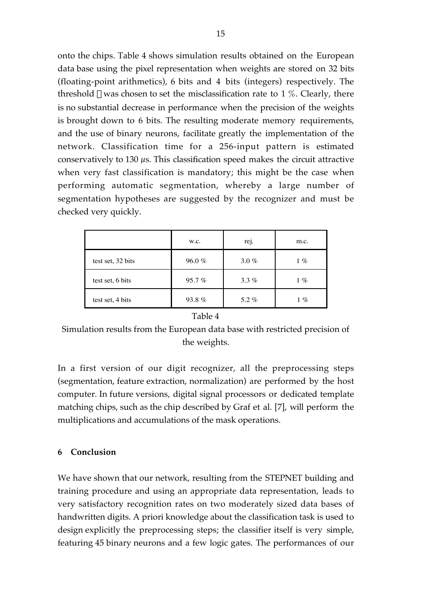onto the chips. Table 4 shows simulation results obtained on the European data base using the pixel representation when weights are stored on 32 bits (floating-point arithmetics), 6 bits and 4 bits (integers) respectively. The threshold  $\theta$  was chosen to set the misclassification rate to 1 %. Clearly, there is no substantial decrease in performance when the precision of the weights is brought down to 6 bits. The resulting moderate memory requirements, and the use of binary neurons, facilitate greatly the implementation of the network. Classification time for a 256-input pattern is estimated conservatively to 130 µs. This classification speed makes the circuit attractive when very fast classification is mandatory; this might be the case when performing automatic segmentation, whereby a large number of segmentation hypotheses are suggested by the recognizer and must be checked very quickly.

|                   | W.C.  | rej.     | m.c.   |
|-------------------|-------|----------|--------|
| test set, 32 bits | 96.0% | $3.0 \%$ | $1 \%$ |
| test set, 6 bits  | 95.7% | $3.3\%$  | $1 \%$ |
| test set, 4 bits  | 93.8% | 5.2 $%$  | $1\%$  |

#### Table 4

Simulation results from the European data base with restricted precision of the weights.

In a first version of our digit recognizer, all the preprocessing steps (segmentation, feature extraction, normalization) are performed by the host computer. In future versions, digital signal processors or dedicated template matching chips, such as the chip described by Graf et al. [7], will perform the multiplications and accumulations of the mask operations.

# **6 Conclusion**

We have shown that our network, resulting from the STEPNET building and training procedure and using an appropriate data representation, leads to very satisfactory recognition rates on two moderately sized data bases of handwritten digits. A priori knowledge about the classification task is used to design explicitly the preprocessing steps; the classifier itself is very simple, featuring 45 binary neurons and a few logic gates. The performances of our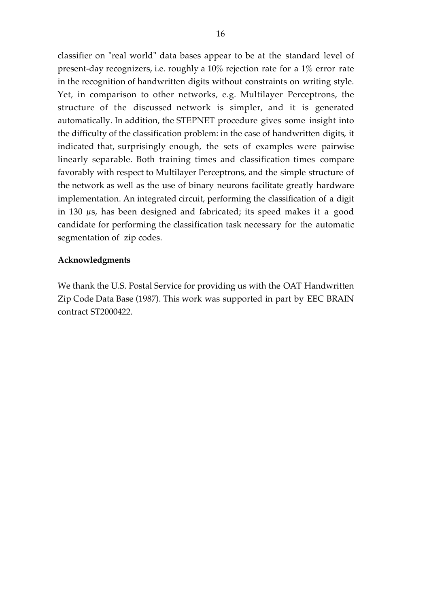classifier on "real world" data bases appear to be at the standard level of present-day recognizers, i.e. roughly a 10% rejection rate for a 1% error rate in the recognition of handwritten digits without constraints on writing style. Yet, in comparison to other networks, e.g. Multilayer Perceptrons, the structure of the discussed network is simpler, and it is generated automatically. In addition, the STEPNET procedure gives some insight into the difficulty of the classification problem: in the case of handwritten digits, it indicated that, surprisingly enough, the sets of examples were pairwise linearly separable. Both training times and classification times compare favorably with respect to Multilayer Perceptrons, and the simple structure of the network as well as the use of binary neurons facilitate greatly hardware implementation. An integrated circuit, performing the classification of a digit in 130  $\mu$ s, has been designed and fabricated; its speed makes it a good candidate for performing the classification task necessary for the automatic segmentation of zip codes.

## **Acknowledgments**

We thank the U.S. Postal Service for providing us with the OAT Handwritten Zip Code Data Base (1987). This work was supported in part by EEC BRAIN contract ST2000422.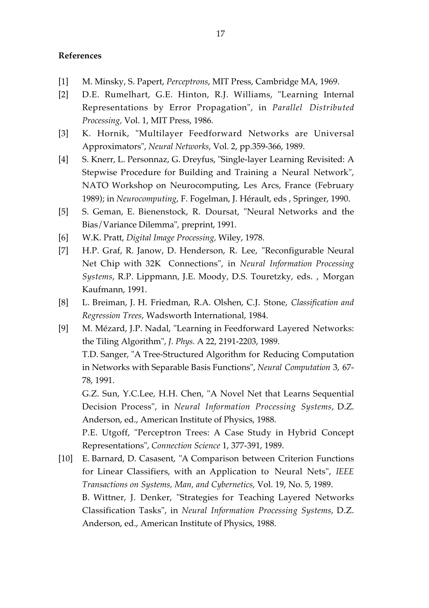### **References**

- [1] M. Minsky, S. Papert, *Perceptrons*, MIT Press, Cambridge MA, 1969.
- [2] D.E. Rumelhart, G.E. Hinton, R.J. Williams, "Learning Internal Representations by Error Propagation", in *Parallel Distributed Processing,* Vol. 1, MIT Press, 1986.
- [3] K. Hornik, "Multilayer Feedforward Networks are Universal Approximators", *Neural Networks*, Vol. 2, pp.359-366, 1989.
- [4] S. Knerr, L. Personnaz, G. Dreyfus, "Single-layer Learning Revisited: A Stepwise Procedure for Building and Training a Neural Network", NATO Workshop on Neurocomputing, Les Arcs, France (February 1989); in *Neurocomputing*, F. Fogelman, J. Hérault, eds , Springer, 1990.
- [5] S. Geman, E. Bienenstock, R. Doursat, "Neural Networks and the Bias/Variance Dilemma", preprint, 1991.
- [6] W.K. Pratt, *Digital Image Processing,* Wiley, 1978.
- [7] H.P. Graf, R. Janow, D. Henderson, R. Lee, "Reconfigurable Neural Net Chip with 32K Connections", in *Neural Information Processing Systems*, R.P. Lippmann, J.E. Moody, D.S. Touretzky, eds. , Morgan Kaufmann, 1991.
- [8] L. Breiman, J. H. Friedman, R.A. Olshen, C.J. Stone, *Classification and Regression Trees*, Wadsworth International, 1984.
- [9] M. Mézard, J.P. Nadal, "Learning in Feedforward Layered Networks: the Tiling Algorithm", *J. Phys.* A 22, 2191-2203, 1989. T.D. Sanger, "A Tree-Structured Algorithm for Reducing Computation in Networks with Separable Basis Functions", *Neural Computation* 3, 67- 78, 1991. G.Z. Sun, Y.C.Lee, H.H. Chen, "A Novel Net that Learns Sequential Decision Process", in *Neural Information Processing Systems*, D.Z.

Anderson, ed., American Institute of Physics, 1988. P.E. Utgoff, "Perceptron Trees: A Case Study in Hybrid Concept

Representations", *Connection Science* 1, 377-391, 1989. [10] E. Barnard, D. Casasent, "A Comparison between Criterion Functions for Linear Classifiers, with an Application to Neural Nets", *IEEE*

*Transactions on Systems, Man, and Cybernetics*, Vol. 19, No. 5, 1989. B. Wittner, J. Denker, "Strategies for Teaching Layered Networks Classification Tasks", in *Neural Information Processing Systems*, D.Z. Anderson, ed., American Institute of Physics, 1988.